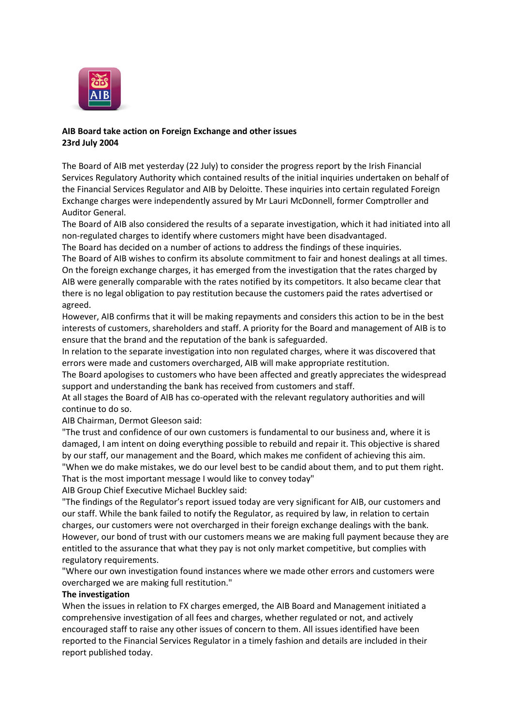

# **AIB Board take action on Foreign Exchange and other issues 23rd July 2004**

The Board of AIB met yesterday (22 July) to consider the progress report by the Irish Financial Services Regulatory Authority which contained results of the initial inquiries undertaken on behalf of the Financial Services Regulator and AIB by Deloitte. These inquiries into certain regulated Foreign Exchange charges were independently assured by Mr Lauri McDonnell, former Comptroller and Auditor General.

The Board of AIB also considered the results of a separate investigation, which it had initiated into all non-regulated charges to identify where customers might have been disadvantaged.

The Board has decided on a number of actions to address the findings of these inquiries.

The Board of AIB wishes to confirm its absolute commitment to fair and honest dealings at all times. On the foreign exchange charges, it has emerged from the investigation that the rates charged by AIB were generally comparable with the rates notified by its competitors. It also became clear that there is no legal obligation to pay restitution because the customers paid the rates advertised or agreed.

However, AIB confirms that it will be making repayments and considers this action to be in the best interests of customers, shareholders and staff. A priority for the Board and management of AIB is to ensure that the brand and the reputation of the bank is safeguarded.

In relation to the separate investigation into non regulated charges, where it was discovered that errors were made and customers overcharged, AIB will make appropriate restitution.

The Board apologises to customers who have been affected and greatly appreciates the widespread support and understanding the bank has received from customers and staff.

At all stages the Board of AIB has co-operated with the relevant regulatory authorities and will continue to do so.

AIB Chairman, Dermot Gleeson said:

"The trust and confidence of our own customers is fundamental to our business and, where it is damaged, I am intent on doing everything possible to rebuild and repair it. This objective is shared by our staff, our management and the Board, which makes me confident of achieving this aim. "When we do make mistakes, we do our level best to be candid about them, and to put them right. That is the most important message I would like to convey today"

AIB Group Chief Executive Michael Buckley said:

"The findings of the Regulator's report issued today are very significant for AIB, our customers and our staff. While the bank failed to notify the Regulator, as required by law, in relation to certain charges, our customers were not overcharged in their foreign exchange dealings with the bank. However, our bond of trust with our customers means we are making full payment because they are entitled to the assurance that what they pay is not only market competitive, but complies with regulatory requirements.

"Where our own investigation found instances where we made other errors and customers were overcharged we are making full restitution."

#### **The investigation**

When the issues in relation to FX charges emerged, the AIB Board and Management initiated a comprehensive investigation of all fees and charges, whether regulated or not, and actively encouraged staff to raise any other issues of concern to them. All issues identified have been reported to the Financial Services Regulator in a timely fashion and details are included in their report published today.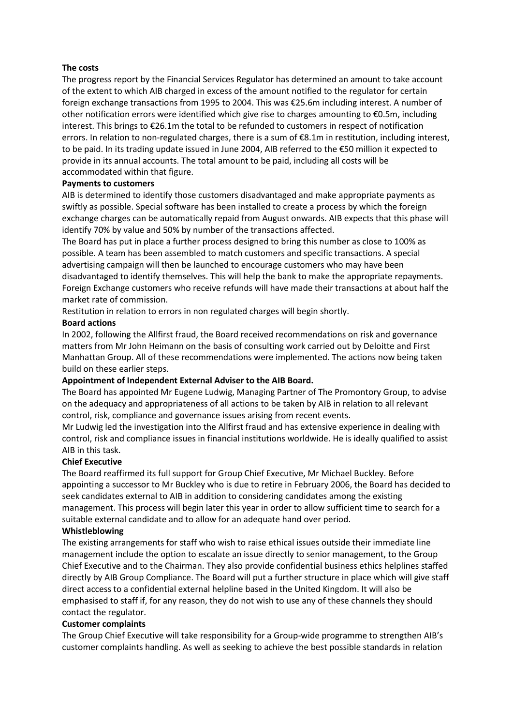### **The costs**

The progress report by the Financial Services Regulator has determined an amount to take account of the extent to which AIB charged in excess of the amount notified to the regulator for certain foreign exchange transactions from 1995 to 2004. This was €25.6m including interest. A number of other notification errors were identified which give rise to charges amounting to €0.5m, including interest. This brings to €26.1m the total to be refunded to customers in respect of notification errors. In relation to non-regulated charges, there is a sum of €8.1m in restitution, including interest, to be paid. In its trading update issued in June 2004, AIB referred to the €50 million it expected to provide in its annual accounts. The total amount to be paid, including all costs will be accommodated within that figure.

## **Payments to customers**

AIB is determined to identify those customers disadvantaged and make appropriate payments as swiftly as possible. Special software has been installed to create a process by which the foreign exchange charges can be automatically repaid from August onwards. AIB expects that this phase will identify 70% by value and 50% by number of the transactions affected.

The Board has put in place a further process designed to bring this number as close to 100% as possible. A team has been assembled to match customers and specific transactions. A special advertising campaign will then be launched to encourage customers who may have been disadvantaged to identify themselves. This will help the bank to make the appropriate repayments. Foreign Exchange customers who receive refunds will have made their transactions at about half the market rate of commission.

Restitution in relation to errors in non regulated charges will begin shortly.

## **Board actions**

In 2002, following the Allfirst fraud, the Board received recommendations on risk and governance matters from Mr John Heimann on the basis of consulting work carried out by Deloitte and First Manhattan Group. All of these recommendations were implemented. The actions now being taken build on these earlier steps.

# **Appointment of Independent External Adviser to the AIB Board.**

The Board has appointed Mr Eugene Ludwig, Managing Partner of The Promontory Group, to advise on the adequacy and appropriateness of all actions to be taken by AIB in relation to all relevant control, risk, compliance and governance issues arising from recent events.

Mr Ludwig led the investigation into the Allfirst fraud and has extensive experience in dealing with control, risk and compliance issues in financial institutions worldwide. He is ideally qualified to assist AIB in this task.

# **Chief Executive**

The Board reaffirmed its full support for Group Chief Executive, Mr Michael Buckley. Before appointing a successor to Mr Buckley who is due to retire in February 2006, the Board has decided to seek candidates external to AIB in addition to considering candidates among the existing management. This process will begin later this year in order to allow sufficient time to search for a suitable external candidate and to allow for an adequate hand over period.

#### **Whistleblowing**

The existing arrangements for staff who wish to raise ethical issues outside their immediate line management include the option to escalate an issue directly to senior management, to the Group Chief Executive and to the Chairman. They also provide confidential business ethics helplines staffed directly by AIB Group Compliance. The Board will put a further structure in place which will give staff direct access to a confidential external helpline based in the United Kingdom. It will also be emphasised to staff if, for any reason, they do not wish to use any of these channels they should contact the regulator.

#### **Customer complaints**

The Group Chief Executive will take responsibility for a Group-wide programme to strengthen AIB's customer complaints handling. As well as seeking to achieve the best possible standards in relation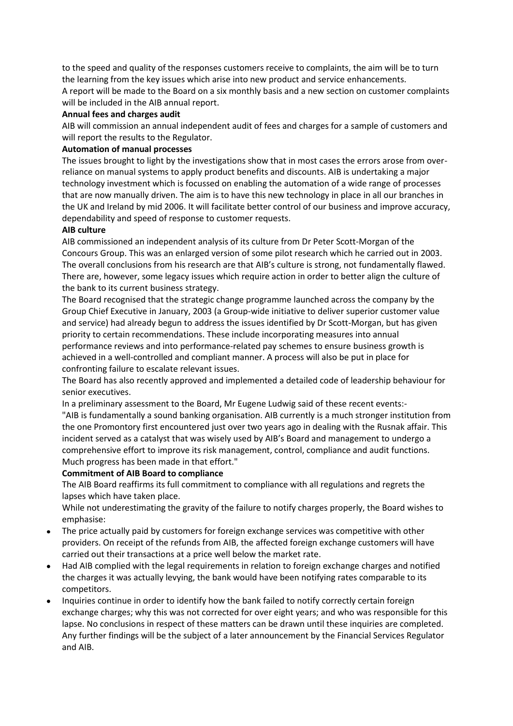to the speed and quality of the responses customers receive to complaints, the aim will be to turn the learning from the key issues which arise into new product and service enhancements.

A report will be made to the Board on a six monthly basis and a new section on customer complaints will be included in the AIB annual report.

## **Annual fees and charges audit**

AIB will commission an annual independent audit of fees and charges for a sample of customers and will report the results to the Regulator.

## **Automation of manual processes**

The issues brought to light by the investigations show that in most cases the errors arose from overreliance on manual systems to apply product benefits and discounts. AIB is undertaking a major technology investment which is focussed on enabling the automation of a wide range of processes that are now manually driven. The aim is to have this new technology in place in all our branches in the UK and Ireland by mid 2006. It will facilitate better control of our business and improve accuracy, dependability and speed of response to customer requests.

## **AIB culture**

AIB commissioned an independent analysis of its culture from Dr Peter Scott-Morgan of the Concours Group. This was an enlarged version of some pilot research which he carried out in 2003. The overall conclusions from his research are that AIB's culture is strong, not fundamentally flawed. There are, however, some legacy issues which require action in order to better align the culture of the bank to its current business strategy.

The Board recognised that the strategic change programme launched across the company by the Group Chief Executive in January, 2003 (a Group-wide initiative to deliver superior customer value and service) had already begun to address the issues identified by Dr Scott-Morgan, but has given priority to certain recommendations. These include incorporating measures into annual performance reviews and into performance-related pay schemes to ensure business growth is achieved in a well-controlled and compliant manner. A process will also be put in place for confronting failure to escalate relevant issues.

The Board has also recently approved and implemented a detailed code of leadership behaviour for senior executives.

In a preliminary assessment to the Board, Mr Eugene Ludwig said of these recent events:-

"AIB is fundamentally a sound banking organisation. AIB currently is a much stronger institution from the one Promontory first encountered just over two years ago in dealing with the Rusnak affair. This incident served as a catalyst that was wisely used by AIB's Board and management to undergo a comprehensive effort to improve its risk management, control, compliance and audit functions. Much progress has been made in that effort."

# **Commitment of AIB Board to compliance**

The AIB Board reaffirms its full commitment to compliance with all regulations and regrets the lapses which have taken place.

While not underestimating the gravity of the failure to notify charges properly, the Board wishes to emphasise:

- The price actually paid by customers for foreign exchange services was competitive with other providers. On receipt of the refunds from AIB, the affected foreign exchange customers will have carried out their transactions at a price well below the market rate.
- Had AIB complied with the legal requirements in relation to foreign exchange charges and notified the charges it was actually levying, the bank would have been notifying rates comparable to its competitors.
- Inquiries continue in order to identify how the bank failed to notify correctly certain foreign exchange charges; why this was not corrected for over eight years; and who was responsible for this lapse. No conclusions in respect of these matters can be drawn until these inquiries are completed. Any further findings will be the subject of a later announcement by the Financial Services Regulator and AIB.